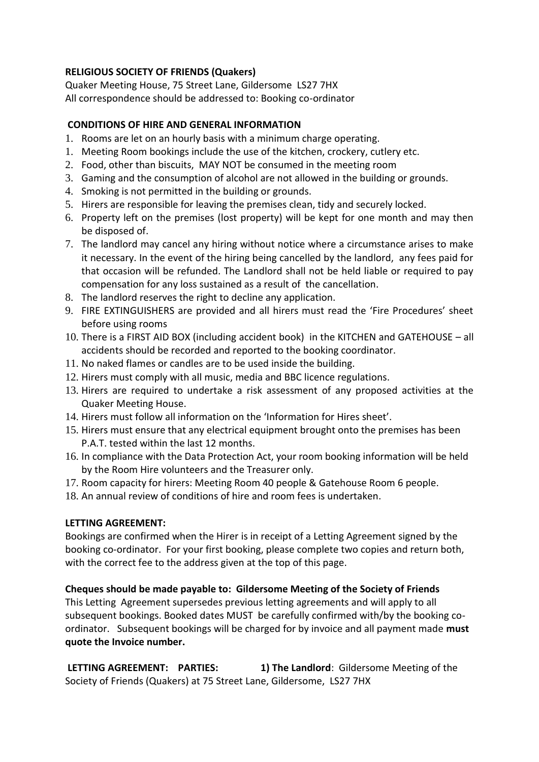### **RELIGIOUS SOCIETY OF FRIENDS (Quakers)**

Quaker Meeting House, 75 Street Lane, Gildersome LS27 7HX All correspondence should be addressed to: Booking co-ordinator

### **CONDITIONS OF HIRE AND GENERAL INFORMATION**

- 1. Rooms are let on an hourly basis with a minimum charge operating.
- 1. Meeting Room bookings include the use of the kitchen, crockery, cutlery etc.
- 2. Food, other than biscuits, MAY NOT be consumed in the meeting room
- 3. Gaming and the consumption of alcohol are not allowed in the building or grounds.
- 4. Smoking is not permitted in the building or grounds.
- 5. Hirers are responsible for leaving the premises clean, tidy and securely locked.
- 6. Property left on the premises (lost property) will be kept for one month and may then be disposed of.
- 7. The landlord may cancel any hiring without notice where a circumstance arises to make it necessary. In the event of the hiring being cancelled by the landlord, any fees paid for that occasion will be refunded. The Landlord shall not be held liable or required to pay compensation for any loss sustained as a result of the cancellation.
- 8. The landlord reserves the right to decline any application.
- 9. FIRE EXTINGUISHERS are provided and all hirers must read the 'Fire Procedures' sheet before using rooms
- 10. There is a FIRST AID BOX (including accident book) in the KITCHEN and GATEHOUSE all accidents should be recorded and reported to the booking coordinator.
- 11. No naked flames or candles are to be used inside the building.
- 12. Hirers must comply with all music, media and BBC licence regulations.
- 13. Hirers are required to undertake a risk assessment of any proposed activities at the Quaker Meeting House.
- 14. Hirers must follow all information on the 'Information for Hires sheet'.
- 15. Hirers must ensure that any electrical equipment brought onto the premises has been P.A.T. tested within the last 12 months.
- 16. In compliance with the Data Protection Act, your room booking information will be held by the Room Hire volunteers and the Treasurer only.
- 17. Room capacity for hirers: Meeting Room 40 people & Gatehouse Room 6 people.
- 18. An annual review of conditions of hire and room fees is undertaken.

#### **LETTING AGREEMENT:**

Bookings are confirmed when the Hirer is in receipt of a Letting Agreement signed by the booking co-ordinator. For your first booking, please complete two copies and return both, with the correct fee to the address given at the top of this page.

## **Cheques should be made payable to: Gildersome Meeting of the Society of Friends**

This Letting Agreement supersedes previous letting agreements and will apply to all subsequent bookings. Booked dates MUST be carefully confirmed with/by the booking coordinator. Subsequent bookings will be charged for by invoice and all payment made **must quote the Invoice number.**

**LETTING AGREEMENT: PARTIES: 1) The Landlord**: Gildersome Meeting of the Society of Friends (Quakers) at 75 Street Lane, Gildersome, LS27 7HX